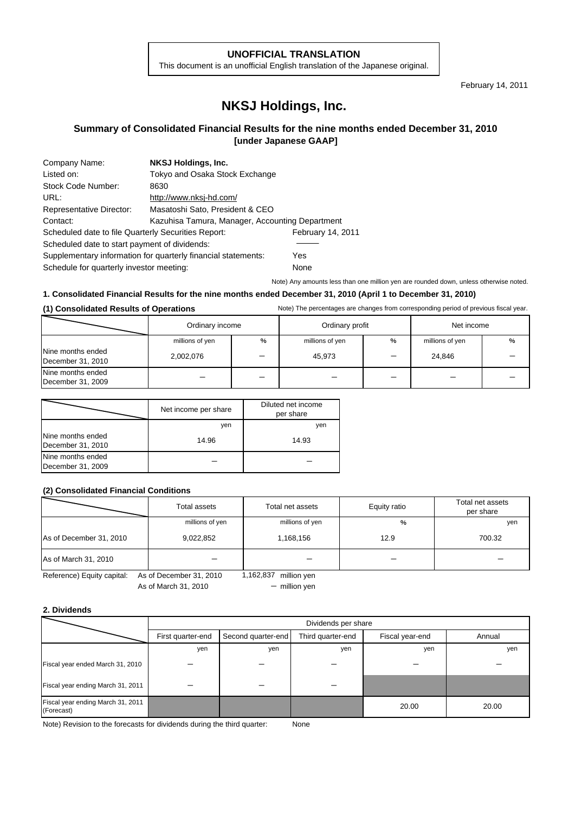#### **UNOFFICIAL TRANSLATION**

This document is an unofficial English translation of the Japanese original.

February 14, 2011

# **NKSJ Holdings, Inc.**

## **Summary of Consolidated Financial Results for the nine months ended December 31, 2010 [under Japanese GAAP]**

| Company Name:                                                 | NKSJ Holdings, Inc.                             |                   |  |  |
|---------------------------------------------------------------|-------------------------------------------------|-------------------|--|--|
| Listed on:                                                    | Tokyo and Osaka Stock Exchange                  |                   |  |  |
| Stock Code Number:                                            | 8630                                            |                   |  |  |
| URL:                                                          | http://www.nksj-hd.com/                         |                   |  |  |
| Representative Director:                                      | Masatoshi Sato, President & CEO                 |                   |  |  |
| Contact:                                                      | Kazuhisa Tamura, Manager, Accounting Department |                   |  |  |
| Scheduled date to file Quarterly Securities Report:           |                                                 | February 14, 2011 |  |  |
| Scheduled date to start payment of dividends:                 |                                                 |                   |  |  |
| Supplementary information for quarterly financial statements: | Yes                                             |                   |  |  |
| Schedule for quarterly investor meeting:                      | None                                            |                   |  |  |

Note) Any amounts less than one million yen are rounded down, unless otherwise noted.

#### **1. Consolidated Financial Results for the nine months ended December 31, 2010 (April 1 to December 31, 2010)**

#### (1) Consolidated Results of Operations **Notel Consolidated Results of Operations** Note) The percentages are changes from corresponding period of previous fiscal year.

|                                        | Ordinary income |   | Ordinary profit |   | Net income      |   |
|----------------------------------------|-----------------|---|-----------------|---|-----------------|---|
|                                        | millions of yen | % | millions of yen | % | millions of yen | % |
| Nine months ended<br>December 31, 2010 | 2,002,076       |   | 45,973          |   | 24,846          |   |
| Nine months ended<br>December 31, 2009 |                 |   |                 |   |                 |   |

|                                        | Net income per share | Diluted net income<br>per share |
|----------------------------------------|----------------------|---------------------------------|
|                                        | yen                  | yen                             |
| Nine months ended<br>December 31, 2010 | 14.96                | 14.93                           |
| Nine months ended<br>December 31, 2009 |                      |                                 |

#### **(2) Consolidated Financial Conditions**

|                         | Total assets    | Total net assets | Equity ratio | Total net assets<br>per share |
|-------------------------|-----------------|------------------|--------------|-------------------------------|
|                         | millions of yen | millions of yen  | %            | yen                           |
| As of December 31, 2010 | 9,022,852       | 1,168,156        | 12.9         | 700.32                        |
| As of March 31, 2010    |                 |                  |              |                               |

Reference) Equity capital: As of December 31, 2010 1,162,837 million yen As of March 31, 2010

- million yen

#### **2. Dividends**

|                                                 | Dividends per share                                                             |     |     |        |       |  |
|-------------------------------------------------|---------------------------------------------------------------------------------|-----|-----|--------|-------|--|
|                                                 | Third quarter-end<br>First quarter-end<br>Second quarter-end<br>Fiscal year-end |     |     | Annual |       |  |
|                                                 | yen                                                                             | yen | yen | yen    | yen   |  |
| Fiscal year ended March 31, 2010                |                                                                                 |     |     |        |       |  |
| Fiscal year ending March 31, 2011               |                                                                                 |     |     |        |       |  |
| Fiscal year ending March 31, 2011<br>(Forecast) |                                                                                 |     |     | 20.00  | 20.00 |  |

Note) Revision to the forecasts for dividends during the third quarter: None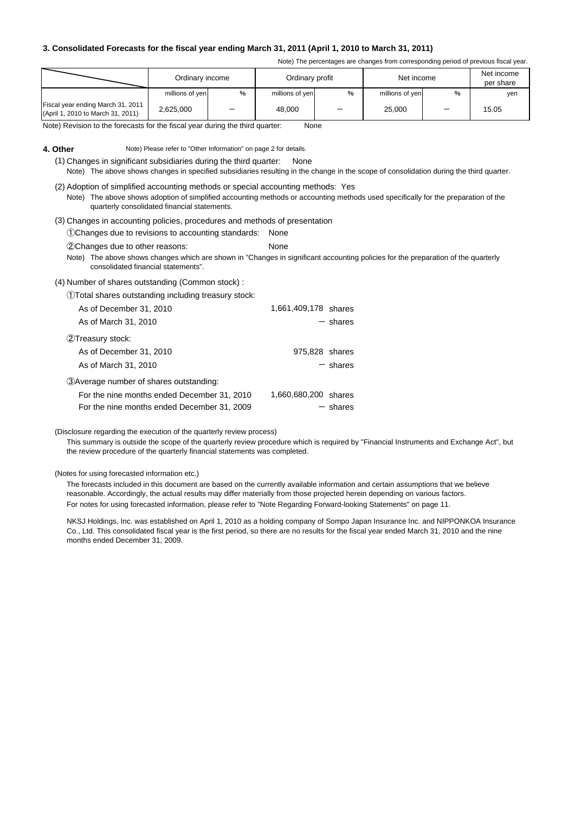#### **3. Consolidated Forecasts for the fiscal year ending March 31, 2011 (April 1, 2010 to March 31, 2011)**

Note) The percentages are changes from corresponding period of previous fiscal year.

|                                                                        | Ordinary income |   | Ordinary profit |   | Net income      |   | Net income<br>per share |
|------------------------------------------------------------------------|-----------------|---|-----------------|---|-----------------|---|-------------------------|
|                                                                        | millions of yen | % | millions of yen | % | millions of yen | % | yen                     |
| Fiscal year ending March 31, 2011<br>(April 1, 2010 to March 31, 2011) | 2,625,000       |   | 48,000          |   | 25,000          |   | 15.05                   |

Note) Revision to the forecasts for the fiscal year during the third quarter: None

**4. Other** Note) Please refer to "Other Information" on page 2 for details.

(1) Changes in significant subsidiaries during the third quarter: None Note) The above shows changes in specified subsidiaries resulting in the change in the scope of consolidation during the third quarter.

(2) Adoption of simplified accounting methods or special accounting methods: Yes Note) The above shows adoption of simplified accounting methods or accounting methods used specifically for the preparation of the quarterly consolidated financial statements.

(3) Changes in accounting policies, procedures and methods of presentation

①Changes due to revisions to accounting standards: None

②Changes due to other reasons: None

Note) The above shows changes which are shown in "Changes in significant accounting policies for the preparation of the quarterly consolidated financial statements".

(4) Number of shares outstanding (Common stock) :

①Total shares outstanding including treasury stock:

| As of December 31, 2010                     | 1,661,409,178 shares |
|---------------------------------------------|----------------------|
| As of March 31, 2010                        | $-$ shares           |
| 2Treasury stock:                            |                      |
| As of December 31, 2010                     | 975,828 shares       |
| As of March 31, 2010                        | $-$ shares           |
| 3) Average number of shares outstanding:    |                      |
| For the nine months ended December 31, 2010 | 1,660,680,200 shares |
| For the nine months ended December 31, 2009 | $-$ shares           |

(Disclosure regarding the execution of the quarterly review process)

This summary is outside the scope of the quarterly review procedure which is required by "Financial Instruments and Exchange Act", but the review procedure of the quarterly financial statements was completed.

(Notes for using forecasted information etc.)

The forecasts included in this document are based on the currently available information and certain assumptions that we believe reasonable. Accordingly, the actual results may differ materially from those projected herein depending on various factors. For notes for using forecasted information, please refer to "Note Regarding Forward-looking Statements" on page 11.

NKSJ Holdings, Inc. was established on April 1, 2010 as a holding company of Sompo Japan Insurance Inc. and NIPPONKOA Insurance Co., Ltd. This consolidated fiscal year is the first period, so there are no results for the fiscal year ended March 31, 2010 and the nine months ended December 31, 2009.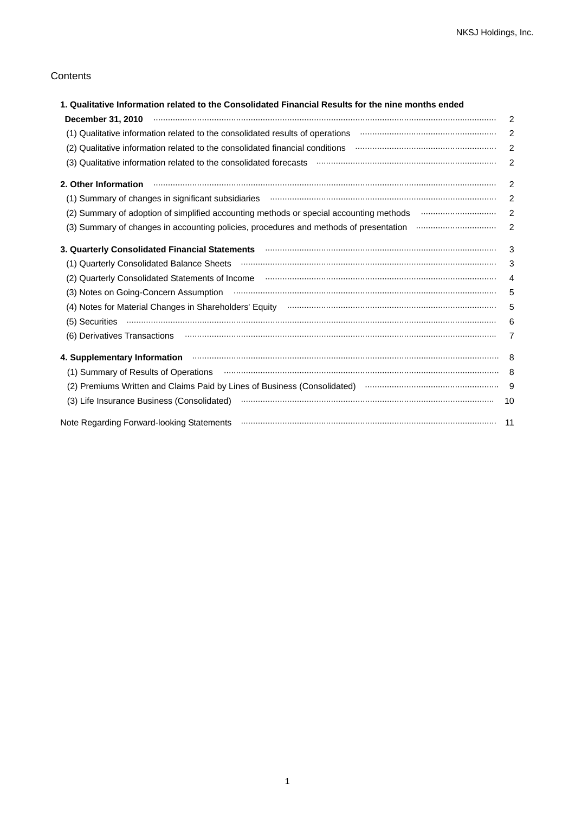### **Contents**

| 1. Qualitative Information related to the Consolidated Financial Results for the nine months ended                                                                                                                                  |                |
|-------------------------------------------------------------------------------------------------------------------------------------------------------------------------------------------------------------------------------------|----------------|
|                                                                                                                                                                                                                                     | 2              |
| (1) Qualitative information related to the consolidated results of operations manufacture information meta-                                                                                                                         | $\overline{c}$ |
| (2) Qualitative information related to the consolidated financial conditions manufacture information meta-                                                                                                                          | 2              |
| (3) Qualitative information related to the consolidated forecasts manufactured contains an intervent control of                                                                                                                     | $\overline{2}$ |
| 2. Other Information <b>www.communication.communication.communication</b> control of the control of the control of the control of the control of the control of the control of the control of the control of the control of the con | 2              |
|                                                                                                                                                                                                                                     | 2              |
| (2) Summary of adoption of simplified accounting methods or special accounting methods manufactured in the summan was                                                                                                               | $\overline{2}$ |
|                                                                                                                                                                                                                                     | 2              |
| 3. Quarterly Consolidated Financial Statements <b>manufacture of the Consolidated Statement</b> Statements and Consolidated Financial Statements and Consolidated Financial Statements and Consolidated Financial Statements and Co | 3              |
| (1) Quarterly Consolidated Balance Sheets (1) Martin Martin Martin Martin Martin Martin Martin Martin Martin M                                                                                                                      | 3              |
|                                                                                                                                                                                                                                     | $\overline{4}$ |
|                                                                                                                                                                                                                                     | 5              |
|                                                                                                                                                                                                                                     | 5              |
|                                                                                                                                                                                                                                     | 6              |
| (6) Derivatives Transactions <b>constructions</b> (6) Derivatives Transactions (6)                                                                                                                                                  | 7              |
|                                                                                                                                                                                                                                     | - 8            |
|                                                                                                                                                                                                                                     |                |
| (2) Premiums Written and Claims Paid by Lines of Business (Consolidated) manufactured and the manufactured 9                                                                                                                        |                |
|                                                                                                                                                                                                                                     | 10             |
|                                                                                                                                                                                                                                     | $-11$          |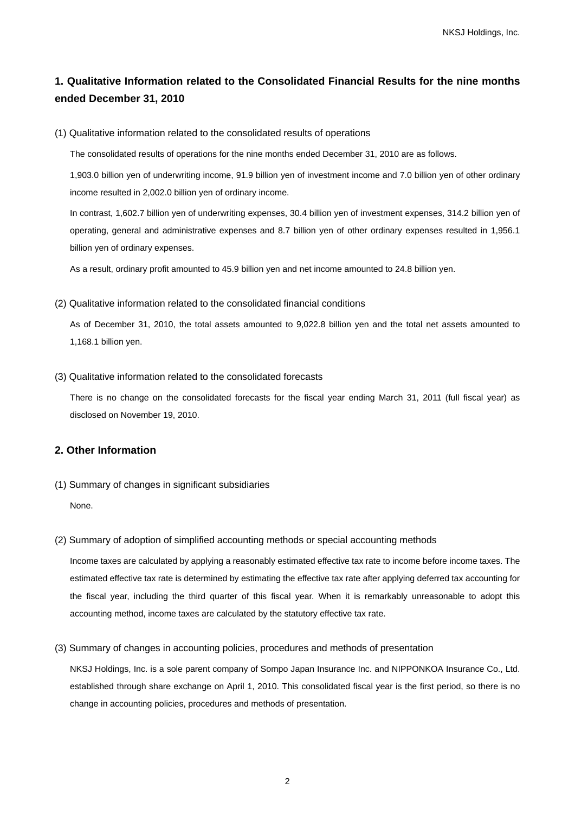## **1. Qualitative Information related to the Consolidated Financial Results for the nine months ended December 31, 2010**

(1) Qualitative information related to the consolidated results of operations

The consolidated results of operations for the nine months ended December 31, 2010 are as follows.

1,903.0 billion yen of underwriting income, 91.9 billion yen of investment income and 7.0 billion yen of other ordinary income resulted in 2,002.0 billion yen of ordinary income.

In contrast, 1,602.7 billion yen of underwriting expenses, 30.4 billion yen of investment expenses, 314.2 billion yen of operating, general and administrative expenses and 8.7 billion yen of other ordinary expenses resulted in 1,956.1 billion yen of ordinary expenses.

As a result, ordinary profit amounted to 45.9 billion yen and net income amounted to 24.8 billion yen.

#### (2) Qualitative information related to the consolidated financial conditions

As of December 31, 2010, the total assets amounted to 9,022.8 billion yen and the total net assets amounted to 1,168.1 billion yen.

(3) Qualitative information related to the consolidated forecasts

There is no change on the consolidated forecasts for the fiscal year ending March 31, 2011 (full fiscal year) as disclosed on November 19, 2010.

## **2. Other Information**

(1) Summary of changes in significant subsidiaries

None.

(2) Summary of adoption of simplified accounting methods or special accounting methods

Income taxes are calculated by applying a reasonably estimated effective tax rate to income before income taxes. The estimated effective tax rate is determined by estimating the effective tax rate after applying deferred tax accounting for the fiscal year, including the third quarter of this fiscal year. When it is remarkably unreasonable to adopt this accounting method, income taxes are calculated by the statutory effective tax rate.

(3) Summary of changes in accounting policies, procedures and methods of presentation

NKSJ Holdings, Inc. is a sole parent company of Sompo Japan Insurance Inc. and NIPPONKOA Insurance Co., Ltd. established through share exchange on April 1, 2010. This consolidated fiscal year is the first period, so there is no change in accounting policies, procedures and methods of presentation.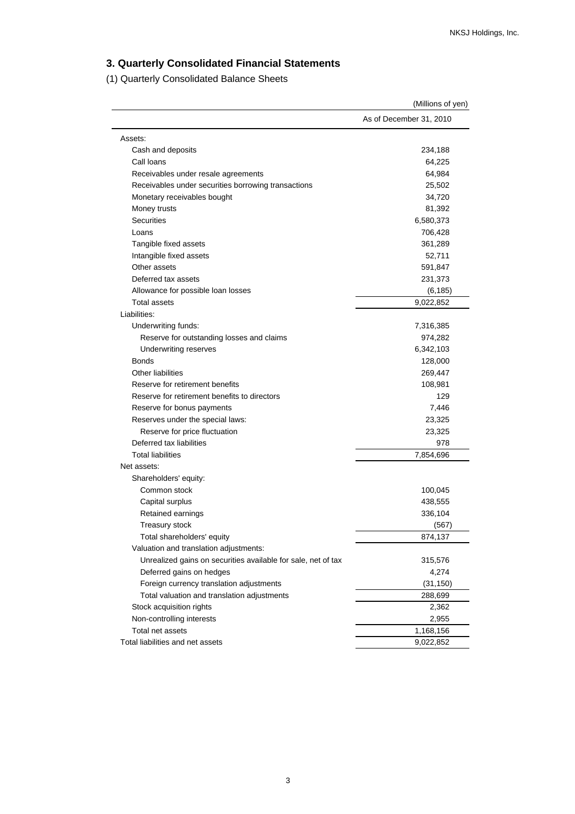## **3. Quarterly Consolidated Financial Statements**

(1) Quarterly Consolidated Balance Sheets

|                                                               | (Millions of yen)       |
|---------------------------------------------------------------|-------------------------|
|                                                               | As of December 31, 2010 |
| Assets:                                                       |                         |
| Cash and deposits                                             | 234,188                 |
| Call Ioans                                                    | 64,225                  |
| Receivables under resale agreements                           | 64,984                  |
| Receivables under securities borrowing transactions           | 25,502                  |
| Monetary receivables bought                                   | 34,720                  |
| Money trusts                                                  | 81,392                  |
| <b>Securities</b>                                             | 6,580,373               |
| Loans                                                         | 706,428                 |
| Tangible fixed assets                                         | 361,289                 |
| Intangible fixed assets                                       | 52,711                  |
| Other assets                                                  | 591,847                 |
| Deferred tax assets                                           | 231,373                 |
| Allowance for possible loan losses                            | (6, 185)                |
| Total assets                                                  | 9,022,852               |
| Liabilities:                                                  |                         |
| Underwriting funds:                                           | 7,316,385               |
| Reserve for outstanding losses and claims                     | 974,282                 |
| Underwriting reserves                                         | 6,342,103               |
| Bonds                                                         | 128,000                 |
| <b>Other liabilities</b>                                      | 269,447                 |
| Reserve for retirement benefits                               | 108,981                 |
| Reserve for retirement benefits to directors                  | 129                     |
| Reserve for bonus payments                                    | 7,446                   |
| Reserves under the special laws:                              | 23,325                  |
| Reserve for price fluctuation                                 | 23,325                  |
| Deferred tax liabilities                                      | 978                     |
| <b>Total liabilities</b>                                      | 7,854,696               |
| Net assets:                                                   |                         |
| Shareholders' equity:                                         |                         |
| Common stock                                                  | 100,045                 |
| Capital surplus                                               | 438,555                 |
| Retained earnings                                             | 336,104                 |
| Treasury stock                                                | (567)                   |
| Total shareholders' equity                                    | 874,137                 |
| Valuation and translation adjustments:                        |                         |
| Unrealized gains on securities available for sale, net of tax | 315,576                 |
| Deferred gains on hedges                                      | 4,274                   |
| Foreign currency translation adjustments                      | (31, 150)               |
| Total valuation and translation adjustments                   | 288,699                 |
| Stock acquisition rights                                      | 2,362                   |
| Non-controlling interests                                     | 2,955                   |
| Total net assets                                              | 1,168,156               |
| Total liabilities and net assets                              | 9,022,852               |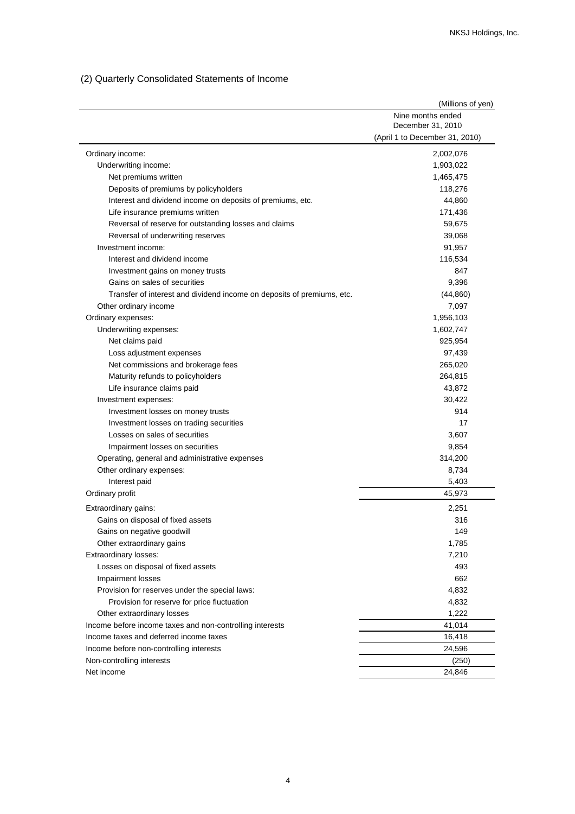## (2) Quarterly Consolidated Statements of Income

|                                                                        | (Millions of yen)              |
|------------------------------------------------------------------------|--------------------------------|
|                                                                        | Nine months ended              |
|                                                                        | December 31, 2010              |
|                                                                        | (April 1 to December 31, 2010) |
| Ordinary income:                                                       | 2,002,076                      |
| Underwriting income:                                                   | 1,903,022                      |
| Net premiums written                                                   | 1,465,475                      |
| Deposits of premiums by policyholders                                  | 118,276                        |
| Interest and dividend income on deposits of premiums, etc.             | 44,860                         |
| Life insurance premiums written                                        | 171,436                        |
| Reversal of reserve for outstanding losses and claims                  | 59,675                         |
| Reversal of underwriting reserves                                      | 39,068                         |
| Investment income:                                                     | 91,957                         |
| Interest and dividend income                                           | 116,534                        |
| Investment gains on money trusts                                       | 847                            |
| Gains on sales of securities                                           | 9,396                          |
| Transfer of interest and dividend income on deposits of premiums, etc. | (44, 860)                      |
| Other ordinary income                                                  | 7,097                          |
| Ordinary expenses:                                                     | 1,956,103                      |
| Underwriting expenses:                                                 | 1,602,747                      |
| Net claims paid                                                        | 925,954                        |
| Loss adjustment expenses                                               | 97,439                         |
| Net commissions and brokerage fees                                     | 265,020                        |
| Maturity refunds to policyholders                                      | 264,815                        |
| Life insurance claims paid                                             | 43,872                         |
| Investment expenses:                                                   | 30,422                         |
| Investment losses on money trusts                                      | 914                            |
| Investment losses on trading securities                                | 17                             |
| Losses on sales of securities                                          | 3,607                          |
| Impairment losses on securities                                        | 9,854                          |
| Operating, general and administrative expenses                         | 314,200                        |
| Other ordinary expenses:                                               | 8,734                          |
| Interest paid                                                          | 5,403                          |
| Ordinary profit                                                        | 45,973                         |
| Extraordinary gains:                                                   | 2,251                          |
| Gains on disposal of fixed assets                                      | 316                            |
| Gains on negative goodwill                                             | 149                            |
| Other extraordinary gains                                              | 1,785                          |
| Extraordinary losses:                                                  | 7,210                          |
| Losses on disposal of fixed assets                                     | 493                            |
| Impairment losses                                                      | 662                            |
| Provision for reserves under the special laws:                         | 4,832                          |
| Provision for reserve for price fluctuation                            | 4,832                          |
| Other extraordinary losses                                             | 1,222                          |
| Income before income taxes and non-controlling interests               | 41,014                         |
| Income taxes and deferred income taxes                                 | 16,418                         |
| Income before non-controlling interests                                | 24,596                         |
| Non-controlling interests                                              | (250)                          |
| Net income                                                             | 24,846                         |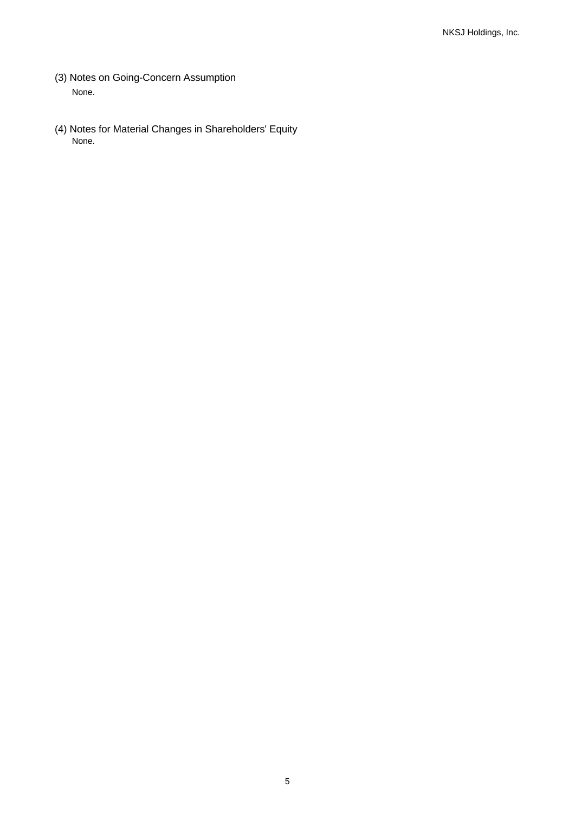- (3) Notes on Going-Concern Assumption None.
- (4) Notes for Material Changes in Shareholders' Equity None.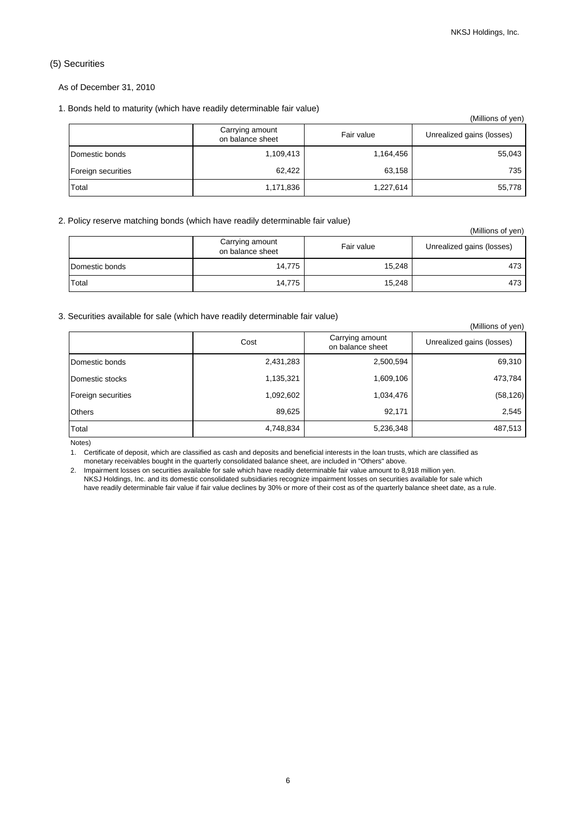### (5) Securities

As of December 31, 2010

#### 1. Bonds held to maturity (which have readily determinable fair value)

|                    |                                     |            | (Millions of yen)         |
|--------------------|-------------------------------------|------------|---------------------------|
|                    | Carrying amount<br>on balance sheet | Fair value | Unrealized gains (losses) |
| Domestic bonds     | 1,109,413                           | 1,164,456  | 55,043                    |
| Foreign securities | 62.422                              | 63,158     | 735                       |
| Total              | 1,171,836                           | 1,227,614  | 55,778                    |

#### 2. Policy reserve matching bonds (which have readily determinable fair value)

|                |                                     |            | (Millions of yen)         |
|----------------|-------------------------------------|------------|---------------------------|
|                | Carrying amount<br>on balance sheet | Fair value | Unrealized gains (losses) |
| Domestic bonds | 14,775                              | 15,248     | 473                       |
| Total          | 14,775                              | 15,248     | 473                       |

#### 3. Securities available for sale (which have readily determinable fair value)

|                    |           |                                     | (Millions of yen)         |
|--------------------|-----------|-------------------------------------|---------------------------|
|                    | Cost      | Carrying amount<br>on balance sheet | Unrealized gains (losses) |
| Domestic bonds     | 2,431,283 | 2,500,594                           | 69,310                    |
| Domestic stocks    | 1,135,321 | 1,609,106                           | 473,784                   |
| Foreign securities | 1,092,602 | 1,034,476                           | (58, 126)                 |
| <b>Others</b>      | 89,625    | 92,171                              | 2,545                     |
| Total              | 4,748,834 | 5,236,348                           | 487,513                   |

Notes)

1. Certificate of deposit, which are classified as cash and deposits and beneficial interests in the loan trusts, which are classified as monetary receivables bought in the quarterly consolidated balance sheet, are included in "Others" above.

2. Impairment losses on securities available for sale which have readily determinable fair value amount to 8,918 million yen.

NKSJ Holdings, Inc. and its domestic consolidated subsidiaries recognize impairment losses on securities available for sale which have readily determinable fair value if fair value declines by 30% or more of their cost as of the quarterly balance sheet date, as a rule.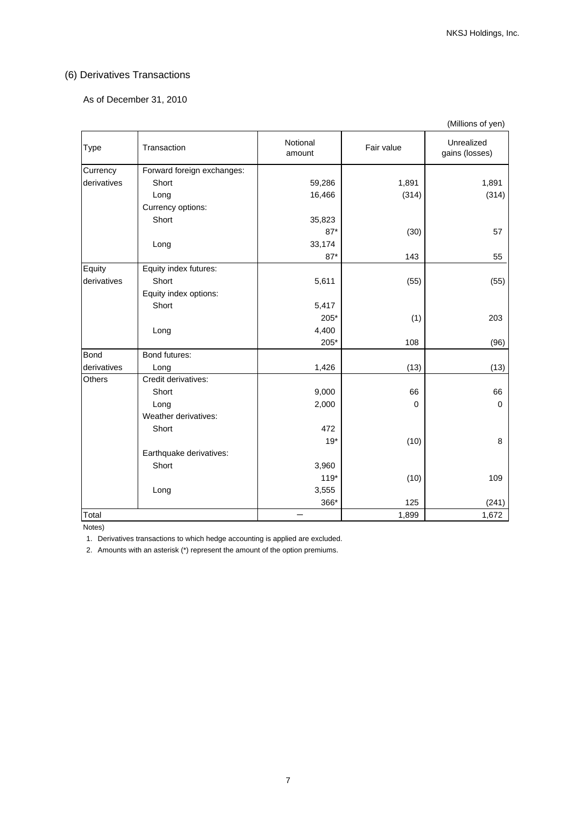## (6) Derivatives Transactions

### As of December 31, 2010

|               |                            |                    |             | (Millions of yen)            |
|---------------|----------------------------|--------------------|-------------|------------------------------|
| Type          | Transaction                | Notional<br>amount | Fair value  | Unrealized<br>gains (losses) |
| Currency      | Forward foreign exchanges: |                    |             |                              |
| derivatives   | Short                      | 59,286             | 1,891       | 1,891                        |
|               | Long                       | 16,466             | (314)       | (314)                        |
|               | Currency options:          |                    |             |                              |
|               | Short                      | 35,823             |             |                              |
|               |                            | $87*$              | (30)        | 57                           |
|               | Long                       | 33,174             |             |                              |
|               |                            | $87*$              | 143         | 55                           |
| Equity        | Equity index futures:      |                    |             |                              |
| derivatives   | Short                      | 5,611              | (55)        | (55)                         |
|               | Equity index options:      |                    |             |                              |
|               | Short                      | 5,417              |             |                              |
|               |                            | $205*$             | (1)         | 203                          |
|               | Long                       | 4,400              |             |                              |
|               |                            | $205*$             | 108         | (96)                         |
| <b>Bond</b>   | Bond futures:              |                    |             |                              |
| derivatives   | Long                       | 1,426              | (13)        | (13)                         |
| <b>Others</b> | Credit derivatives:        |                    |             |                              |
|               | Short                      | 9,000              | 66          | 66                           |
|               | Long                       | 2,000              | $\mathbf 0$ | $\Omega$                     |
|               | Weather derivatives:       |                    |             |                              |
|               | Short                      | 472                |             |                              |
|               |                            | $19*$              | (10)        | 8                            |
|               | Earthquake derivatives:    |                    |             |                              |
|               | Short                      | 3,960              |             |                              |
|               |                            | $119*$             | (10)        | 109                          |
|               | Long                       | 3,555              |             |                              |
|               |                            | 366*               | 125         | (241)                        |
| Total         |                            |                    | 1,899       | 1,672                        |

Notes)

1. Derivatives transactions to which hedge accounting is applied are excluded.

2. Amounts with an asterisk (\*) represent the amount of the option premiums.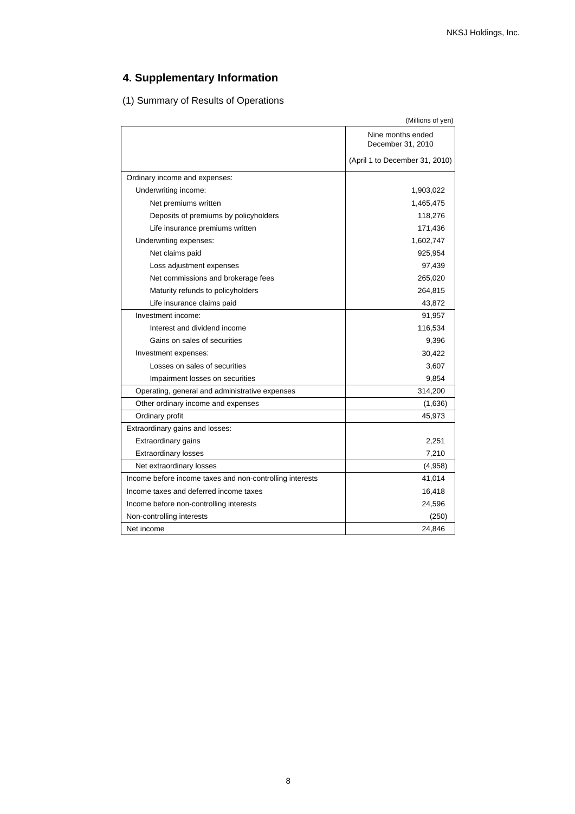# **4. Supplementary Information**

(1) Summary of Results of Operations

| Nine months ended<br>December 31, 2010<br>(April 1 to December 31, 2010)<br>Ordinary income and expenses:<br>Underwriting income:<br>1,903,022<br>Net premiums written<br>1,465,475<br>Deposits of premiums by policyholders<br>118,276<br>Life insurance premiums written<br>171,436<br>Underwriting expenses:<br>1,602,747<br>925,954<br>Net claims paid<br>97,439<br>Loss adjustment expenses<br>Net commissions and brokerage fees<br>265,020<br>Maturity refunds to policyholders<br>264,815<br>Life insurance claims paid<br>43,872<br>Investment income:<br>91,957<br>Interest and dividend income<br>116,534<br>Gains on sales of securities<br>9.396<br>Investment expenses:<br>30,422<br>Losses on sales of securities<br>3,607<br>Impairment losses on securities<br>9,854<br>Operating, general and administrative expenses<br>314,200<br>Other ordinary income and expenses<br>(1,636)<br>Ordinary profit<br>45,973<br>Extraordinary gains and losses:<br>Extraordinary gains<br>2,251<br><b>Extraordinary losses</b><br>7,210<br>Net extraordinary losses<br>(4,958)<br>Income before income taxes and non-controlling interests<br>41,014<br>Income taxes and deferred income taxes<br>16,418<br>Income before non-controlling interests<br>24,596<br>Non-controlling interests<br>(250)<br>Net income<br>24,846 | (Millions of yen) |
|---------------------------------------------------------------------------------------------------------------------------------------------------------------------------------------------------------------------------------------------------------------------------------------------------------------------------------------------------------------------------------------------------------------------------------------------------------------------------------------------------------------------------------------------------------------------------------------------------------------------------------------------------------------------------------------------------------------------------------------------------------------------------------------------------------------------------------------------------------------------------------------------------------------------------------------------------------------------------------------------------------------------------------------------------------------------------------------------------------------------------------------------------------------------------------------------------------------------------------------------------------------------------------------------------------------------------------|-------------------|
|                                                                                                                                                                                                                                                                                                                                                                                                                                                                                                                                                                                                                                                                                                                                                                                                                                                                                                                                                                                                                                                                                                                                                                                                                                                                                                                                 |                   |
|                                                                                                                                                                                                                                                                                                                                                                                                                                                                                                                                                                                                                                                                                                                                                                                                                                                                                                                                                                                                                                                                                                                                                                                                                                                                                                                                 |                   |
|                                                                                                                                                                                                                                                                                                                                                                                                                                                                                                                                                                                                                                                                                                                                                                                                                                                                                                                                                                                                                                                                                                                                                                                                                                                                                                                                 |                   |
|                                                                                                                                                                                                                                                                                                                                                                                                                                                                                                                                                                                                                                                                                                                                                                                                                                                                                                                                                                                                                                                                                                                                                                                                                                                                                                                                 |                   |
|                                                                                                                                                                                                                                                                                                                                                                                                                                                                                                                                                                                                                                                                                                                                                                                                                                                                                                                                                                                                                                                                                                                                                                                                                                                                                                                                 |                   |
|                                                                                                                                                                                                                                                                                                                                                                                                                                                                                                                                                                                                                                                                                                                                                                                                                                                                                                                                                                                                                                                                                                                                                                                                                                                                                                                                 |                   |
|                                                                                                                                                                                                                                                                                                                                                                                                                                                                                                                                                                                                                                                                                                                                                                                                                                                                                                                                                                                                                                                                                                                                                                                                                                                                                                                                 |                   |
|                                                                                                                                                                                                                                                                                                                                                                                                                                                                                                                                                                                                                                                                                                                                                                                                                                                                                                                                                                                                                                                                                                                                                                                                                                                                                                                                 |                   |
|                                                                                                                                                                                                                                                                                                                                                                                                                                                                                                                                                                                                                                                                                                                                                                                                                                                                                                                                                                                                                                                                                                                                                                                                                                                                                                                                 |                   |
|                                                                                                                                                                                                                                                                                                                                                                                                                                                                                                                                                                                                                                                                                                                                                                                                                                                                                                                                                                                                                                                                                                                                                                                                                                                                                                                                 |                   |
|                                                                                                                                                                                                                                                                                                                                                                                                                                                                                                                                                                                                                                                                                                                                                                                                                                                                                                                                                                                                                                                                                                                                                                                                                                                                                                                                 |                   |
|                                                                                                                                                                                                                                                                                                                                                                                                                                                                                                                                                                                                                                                                                                                                                                                                                                                                                                                                                                                                                                                                                                                                                                                                                                                                                                                                 |                   |
|                                                                                                                                                                                                                                                                                                                                                                                                                                                                                                                                                                                                                                                                                                                                                                                                                                                                                                                                                                                                                                                                                                                                                                                                                                                                                                                                 |                   |
|                                                                                                                                                                                                                                                                                                                                                                                                                                                                                                                                                                                                                                                                                                                                                                                                                                                                                                                                                                                                                                                                                                                                                                                                                                                                                                                                 |                   |
|                                                                                                                                                                                                                                                                                                                                                                                                                                                                                                                                                                                                                                                                                                                                                                                                                                                                                                                                                                                                                                                                                                                                                                                                                                                                                                                                 |                   |
|                                                                                                                                                                                                                                                                                                                                                                                                                                                                                                                                                                                                                                                                                                                                                                                                                                                                                                                                                                                                                                                                                                                                                                                                                                                                                                                                 |                   |
|                                                                                                                                                                                                                                                                                                                                                                                                                                                                                                                                                                                                                                                                                                                                                                                                                                                                                                                                                                                                                                                                                                                                                                                                                                                                                                                                 |                   |
|                                                                                                                                                                                                                                                                                                                                                                                                                                                                                                                                                                                                                                                                                                                                                                                                                                                                                                                                                                                                                                                                                                                                                                                                                                                                                                                                 |                   |
|                                                                                                                                                                                                                                                                                                                                                                                                                                                                                                                                                                                                                                                                                                                                                                                                                                                                                                                                                                                                                                                                                                                                                                                                                                                                                                                                 |                   |
|                                                                                                                                                                                                                                                                                                                                                                                                                                                                                                                                                                                                                                                                                                                                                                                                                                                                                                                                                                                                                                                                                                                                                                                                                                                                                                                                 |                   |
|                                                                                                                                                                                                                                                                                                                                                                                                                                                                                                                                                                                                                                                                                                                                                                                                                                                                                                                                                                                                                                                                                                                                                                                                                                                                                                                                 |                   |
|                                                                                                                                                                                                                                                                                                                                                                                                                                                                                                                                                                                                                                                                                                                                                                                                                                                                                                                                                                                                                                                                                                                                                                                                                                                                                                                                 |                   |
|                                                                                                                                                                                                                                                                                                                                                                                                                                                                                                                                                                                                                                                                                                                                                                                                                                                                                                                                                                                                                                                                                                                                                                                                                                                                                                                                 |                   |
|                                                                                                                                                                                                                                                                                                                                                                                                                                                                                                                                                                                                                                                                                                                                                                                                                                                                                                                                                                                                                                                                                                                                                                                                                                                                                                                                 |                   |
|                                                                                                                                                                                                                                                                                                                                                                                                                                                                                                                                                                                                                                                                                                                                                                                                                                                                                                                                                                                                                                                                                                                                                                                                                                                                                                                                 |                   |
|                                                                                                                                                                                                                                                                                                                                                                                                                                                                                                                                                                                                                                                                                                                                                                                                                                                                                                                                                                                                                                                                                                                                                                                                                                                                                                                                 |                   |
|                                                                                                                                                                                                                                                                                                                                                                                                                                                                                                                                                                                                                                                                                                                                                                                                                                                                                                                                                                                                                                                                                                                                                                                                                                                                                                                                 |                   |
|                                                                                                                                                                                                                                                                                                                                                                                                                                                                                                                                                                                                                                                                                                                                                                                                                                                                                                                                                                                                                                                                                                                                                                                                                                                                                                                                 |                   |
|                                                                                                                                                                                                                                                                                                                                                                                                                                                                                                                                                                                                                                                                                                                                                                                                                                                                                                                                                                                                                                                                                                                                                                                                                                                                                                                                 |                   |
|                                                                                                                                                                                                                                                                                                                                                                                                                                                                                                                                                                                                                                                                                                                                                                                                                                                                                                                                                                                                                                                                                                                                                                                                                                                                                                                                 |                   |
|                                                                                                                                                                                                                                                                                                                                                                                                                                                                                                                                                                                                                                                                                                                                                                                                                                                                                                                                                                                                                                                                                                                                                                                                                                                                                                                                 |                   |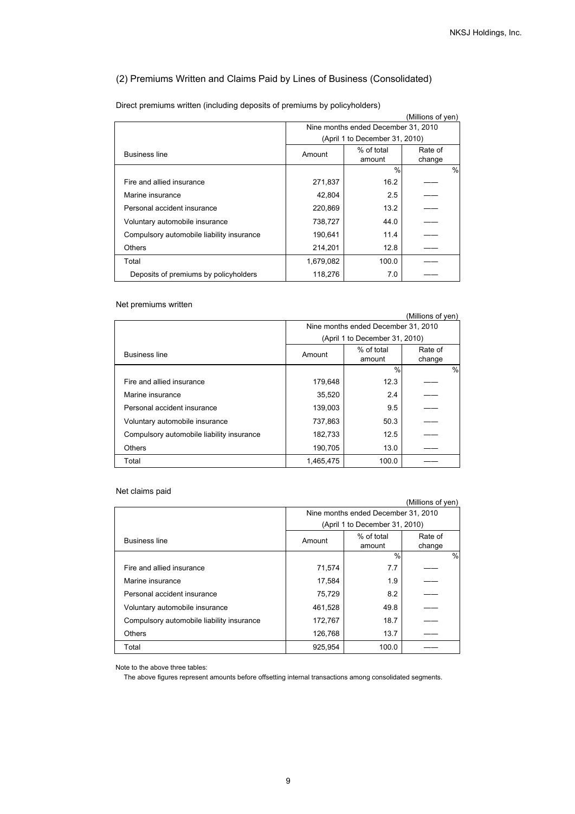## (2) Premiums Written and Claims Paid by Lines of Business (Consolidated)

| (Millions of yen)                         |           |                                     |         |               |
|-------------------------------------------|-----------|-------------------------------------|---------|---------------|
|                                           |           | Nine months ended December 31, 2010 |         |               |
|                                           |           | (April 1 to December 31, 2010)      |         |               |
| <b>Business line</b>                      | Amount    | % of total                          | Rate of |               |
|                                           |           | amount                              | change  |               |
|                                           |           | $\frac{0}{0}$                       |         | $\frac{0}{0}$ |
| Fire and allied insurance                 | 271,837   | 16.2                                |         |               |
| Marine insurance                          | 42.804    | 2.5                                 |         |               |
| Personal accident insurance               | 220,869   | 13.2                                |         |               |
| Voluntary automobile insurance            | 738,727   | 44.0                                |         |               |
| Compulsory automobile liability insurance | 190,641   | 11.4                                |         |               |
| Others                                    | 214,201   | 12.8                                |         |               |
| Total                                     | 1,679,082 | 100.0                               |         |               |
| Deposits of premiums by policyholders     | 118,276   | 7.0                                 |         |               |

Direct premiums written (including deposits of premiums by policyholders)

#### Net premiums written

|                                           |           |                                     | (Millions of yen) |               |
|-------------------------------------------|-----------|-------------------------------------|-------------------|---------------|
|                                           |           | Nine months ended December 31, 2010 |                   |               |
|                                           |           | (April 1 to December 31, 2010)      |                   |               |
| <b>Business line</b>                      | Amount    | % of total<br>amount                | Rate of<br>change |               |
|                                           |           | $\frac{0}{0}$                       |                   | $\frac{0}{0}$ |
| Fire and allied insurance                 | 179,648   | 12.3                                |                   |               |
| Marine insurance                          | 35,520    | 2.4                                 |                   |               |
| Personal accident insurance               | 139,003   | 9.5                                 |                   |               |
| Voluntary automobile insurance            | 737.863   | 50.3                                |                   |               |
| Compulsory automobile liability insurance | 182,733   | 12.5                                |                   |               |
| <b>Others</b>                             | 190,705   | 13.0                                |                   |               |
| Total                                     | 1,465,475 | 100.0                               |                   |               |

#### Net claims paid

|                                           |         |                                     | (Millions of yen) |
|-------------------------------------------|---------|-------------------------------------|-------------------|
|                                           |         | Nine months ended December 31, 2010 |                   |
|                                           |         | (April 1 to December 31, 2010)      |                   |
| <b>Business line</b>                      | Amount  | % of total<br>amount                | Rate of<br>change |
|                                           |         | $\frac{0}{0}$                       | $\frac{0}{0}$     |
| Fire and allied insurance                 | 71,574  | 7.7                                 |                   |
| Marine insurance                          | 17,584  | 1.9                                 |                   |
| Personal accident insurance               | 75.729  | 8.2                                 |                   |
| Voluntary automobile insurance            | 461,528 | 49.8                                |                   |
| Compulsory automobile liability insurance | 172,767 | 18.7                                |                   |
| <b>Others</b>                             | 126,768 | 13.7                                |                   |
| Total                                     | 925.954 | 100.0                               |                   |

Note to the above three tables:

The above figures represent amounts before offsetting internal transactions among consolidated segments.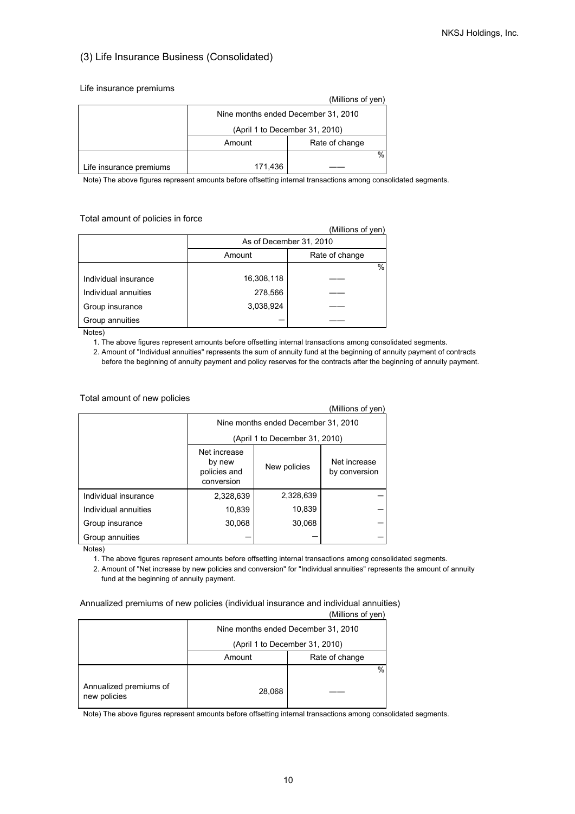## (3) Life Insurance Business (Consolidated)

#### Life insurance premiums

|                         |                                     | (Millions of yen) |  |
|-------------------------|-------------------------------------|-------------------|--|
|                         | Nine months ended December 31, 2010 |                   |  |
|                         | (April 1 to December 31, 2010)      |                   |  |
|                         | Rate of change<br>Amount            |                   |  |
|                         | %                                   |                   |  |
| Life insurance premiums | 171,436                             |                   |  |

Note) The above figures represent amounts before offsetting internal transactions among consolidated segments.

#### Total amount of policies in force

|                      |                          | (Millions of yen) |  |
|----------------------|--------------------------|-------------------|--|
|                      | As of December 31, 2010  |                   |  |
|                      | Rate of change<br>Amount |                   |  |
|                      |                          | $\%$              |  |
| Individual insurance | 16,308,118               |                   |  |
| Individual annuities | 278,566                  |                   |  |
| Group insurance      | 3,038,924                |                   |  |
| Group annuities      |                          |                   |  |

Notes)

- 1. The above figures represent amounts before offsetting internal transactions among consolidated segments.
- 2. Amount of "Individual annuities" represents the sum of annuity fund at the beginning of annuity payment of contracts before the beginning of annuity payment and policy reserves for the contracts after the beginning of annuity payment.

#### Total amount of new policies

|                      |                                                                                                       |           | (Millions of yen) |  |
|----------------------|-------------------------------------------------------------------------------------------------------|-----------|-------------------|--|
|                      | Nine months ended December 31, 2010                                                                   |           |                   |  |
|                      | (April 1 to December 31, 2010)                                                                        |           |                   |  |
|                      | Net increase<br>Net increase<br>by new<br>New policies<br>policies and<br>by conversion<br>conversion |           |                   |  |
| Individual insurance | 2,328,639                                                                                             | 2,328,639 |                   |  |
| Individual annuities | 10,839                                                                                                | 10,839    |                   |  |
| Group insurance      | 30,068                                                                                                | 30,068    |                   |  |
| Group annuities      |                                                                                                       |           |                   |  |

Notes)

1. The above figures represent amounts before offsetting internal transactions among consolidated segments.

 2. Amount of "Net increase by new policies and conversion" for "Individual annuities" represents the amount of annuity fund at the beginning of annuity payment.

### Annualized premiums of new policies (individual insurance and individual annuities)

|                                        |                                     | וייט שויטווייייי |  |
|----------------------------------------|-------------------------------------|------------------|--|
|                                        | Nine months ended December 31, 2010 |                  |  |
|                                        | (April 1 to December 31, 2010)      |                  |  |
|                                        | Amount                              | Rate of change   |  |
|                                        |                                     | %                |  |
| Annualized premiums of<br>new policies | 28,068                              |                  |  |

(Millions of yen)

Note) The above figures represent amounts before offsetting internal transactions among consolidated segments.